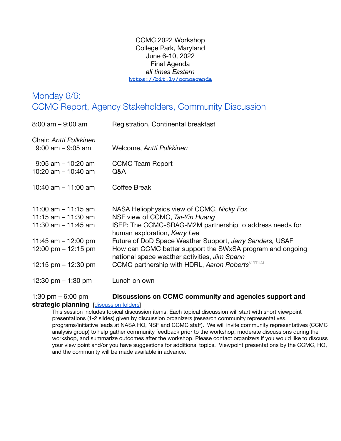CCMC 2022 Workshop College Park, Maryland June 6-10, 2022 Final Agenda *all times Eastern* **<https://bit.ly/ccmcagenda>**

# Monday 6/6: CCMC Report, Agency Stakeholders, Community Discussion

| $8:00$ am $-9:00$ am                                                                                                      | Registration, Continental breakfast                                                                                                                                                                                                                                                                                                               |
|---------------------------------------------------------------------------------------------------------------------------|---------------------------------------------------------------------------------------------------------------------------------------------------------------------------------------------------------------------------------------------------------------------------------------------------------------------------------------------------|
| Chair: Antti Pulkkinen<br>$9:00$ am $-9:05$ am                                                                            | Welcome, Antti Pulkkinen                                                                                                                                                                                                                                                                                                                          |
| $9:05$ am $-10:20$ am<br>10:20 am $-$ 10:40 am                                                                            | <b>CCMC Team Report</b><br>Q&A                                                                                                                                                                                                                                                                                                                    |
| 10:40 am $-$ 11:00 am                                                                                                     | Coffee Break                                                                                                                                                                                                                                                                                                                                      |
| 11:00 am $-$ 11:15 am<br>11:15 am $-$ 11:30 am<br>11:30 am $-$ 11:45 am<br>11:45 am $-$ 12:00 pm<br>12:00 pm $-$ 12:15 pm | NASA Heliophysics view of CCMC, Nicky Fox<br>NSF view of CCMC, Tai-Yin Huang<br>ISEP: The CCMC-SRAG-M2M partnership to address needs for<br>human exploration, Kerry Lee<br>Future of DoD Space Weather Support, Jerry Sanders, USAF<br>How can CCMC better support the SWxSA program and ongoing<br>national space weather activities, Jim Spann |
| 12:15 pm $-$ 12:30 pm                                                                                                     | CCMC partnership with HDRL, Aaron Roberts VIRTUAL                                                                                                                                                                                                                                                                                                 |
| 12:30 pm $-$ 1:30 pm                                                                                                      | Lunch on own                                                                                                                                                                                                                                                                                                                                      |

1:30 pm – 6:00 pm **Discussions on CCMC community and agencies support and**

#### **strategic planning** [[discussion](https://drive.google.com/drive/folders/1G6Q3OVpeTURhLoJSSIrIdh2M1f7tKxkR) folders]

This session includes topical discussion items. Each topical discussion will start with short viewpoint presentations (1-2 slides) given by discussion organizers (research community representatives, programs/initiative leads at NASA HQ, NSF and CCMC staff). We will invite community representatives (CCMC analysis group) to help gather community feedback prior to the workshop, moderate discussions during the workshop, and summarize outcomes after the workshop. Please contact organizers if you would like to discuss your view point and/or you have suggestions for additional topics. Viewpoint presentations by the CCMC, HQ, and the community will be made available in advance.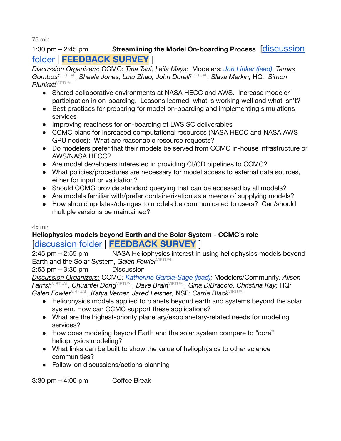75 min

# 1:30 pm – 2:45 pm **Streamlining the Model On-boarding Process** [\[discussion](https://drive.google.com/drive/folders/1zG7QJMivHGDJk1DcJD4USMqrVpWLICbi) [folder](https://drive.google.com/drive/folders/1zG7QJMivHGDJk1DcJD4USMqrVpWLICbi) | **[FEEDBACK](https://bit.ly/ccmcfeedback1) SURVEY** ]

*Discussion Organizers:* CCMC: *Tina Tsui, Leila Mays;* Modelers*: Jon Linker (lead), Tamas Gombosi*VIRTUAL *, Shaela Jones, Lulu Zhao, John Dorelli*VIRTUAL *, Slava Merkin;* HQ*: Simon*  $Plunkett^{\vee\text{IRTUAL}}$ 

- Shared collaborative environments at NASA HECC and AWS. Increase modeler participation in on-boarding. Lessons learned, what is working well and what isn't?
- Best practices for preparing for model on-boarding and implementing simulations services
- Improving readiness for on-boarding of LWS SC deliverables
- CCMC plans for increased computational resources (NASA HECC and NASA AWS GPU nodes): What are reasonable resource requests?
- Do modelers prefer that their models be served from CCMC in-house infrastructure or AWS/NASA HECC?
- Are model developers interested in providing CI/CD pipelines to CCMC?
- What policies/procedures are necessary for model access to external data sources, either for input or validation?
- Should CCMC provide standard querying that can be accessed by all models?
- Are models familiar with/prefer containerization as a means of supplying models?
- How should updates/changes to models be communicated to users? Can/should multiple versions be maintained?

### 45 min

# **Heliophysics models beyond Earth and the Solar System - CCMC's role** [[discussion](https://drive.google.com/drive/folders/1RyQOienp3T6ZkQmXEupvIef7HHaUa3rL) folder | **[FEEDBACK](https://bit.ly/ccmcfeedback2) SURVEY** ]

2:45 pm – 2:55 pm NASA Heliophysics interest in using heliophysics models beyond Earth and the Solar System, Galen Fowler<sup>VIRTUAL</sup>

 $2:55$  pm  $-3:30$  pm Discussion

*Discussion Organizers:* CCMC*: Katherine Garcia-Sage (lead);* Modelers/Community*: Alison Farrish*VIRTUAL *, Chuanfei Dong*VIRTUAL *, Dave Brain*VIRTUAL *, Gina DiBraccio, Christina Kay;* HQ*: Galen Fowler*VIRTUAL *, Katya Verner, Jared Leisner;* NSF*: Carrie Black*VIRTUAL

- Heliophysics models applied to planets beyond earth and systems beyond the solar system. How can CCMC support these applications?
- What are the highest-priority planetary/exoplanetary-related needs for modeling services?
- How does modeling beyond Earth and the solar system compare to "core" heliophysics modeling?
- What links can be built to show the value of heliophysics to other science communities?
- Follow-on discussions/actions planning

3:30 pm – 4:00 pm Coffee Break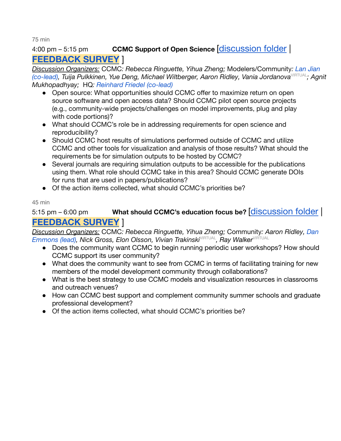75 min

# 4:00 pm – 5:15 pm **CCMC Support of Open Science** [\[discussion](https://drive.google.com/drive/folders/1KifsqgMxdGgO2ZHFqfOnLJ8B1UFRvB50) folder | **[FEEDBACK](https://bit.ly/ccmcfeedback3) SURVEY** ]

*Discussion Organizers:* CCMC*: Rebecca Ringuette, Yihua Zheng;* Modelers/Community*: Lan Jian (co-lead), Tuija Pulkkinen, Yue Deng, Michael Wiltberger, Aaron Ridley, Vania Jordanova<sup>VIRTUAL</sup>; Agnit Mukhopadhyay;* HQ*: Reinhard Friedel (co-lead)*

- Open source: What opportunities should CCMC offer to maximize return on open source software and open access data? Should CCMC pilot open source projects (e.g., community-wide projects/challenges on model improvements, plug and play with code portions)?
- What should CCMC's role be in addressing requirements for open science and reproducibility?
- Should CCMC host results of simulations performed outside of CCMC and utilize CCMC and other tools for visualization and analysis of those results? What should the requirements be for simulation outputs to be hosted by CCMC?
- Several journals are requiring simulation outputs to be accessible for the publications using them. What role should CCMC take in this area? Should CCMC generate DOIs for runs that are used in papers/publications?
- Of the action items collected, what should CCMC's priorities be?

### 45 min

# 5:15 pm – 6:00 pm **What should CCMC's education focus be?** [\[discussion](https://drive.google.com/drive/folders/1KVy3r1HMTSEw1RkHy7x8Ot-GLyplyOsW) folder | **[FEEDBACK](https://bit.ly/ccmcfeedback4) SURVEY** ]

*Discussion Organizers:* CCMC*: Rebecca Ringuette, Yihua Zheng;* Community*: Aaron Ridley, Dan*  $E$ mmons (lead), Nick Gross, Elon Olsson, Vivian Trakinski<sup>virtual</sup>, Ray Walker<sup>virtual</sup>

- Does the community want CCMC to begin running periodic user workshops? How should CCMC support its user community?
- What does the community want to see from CCMC in terms of facilitating training for new members of the model development community through collaborations?
- What is the best strategy to use CCMC models and visualization resources in classrooms and outreach venues?
- How can CCMC best support and complement community summer schools and graduate professional development?
- Of the action items collected, what should CCMC's priorities be?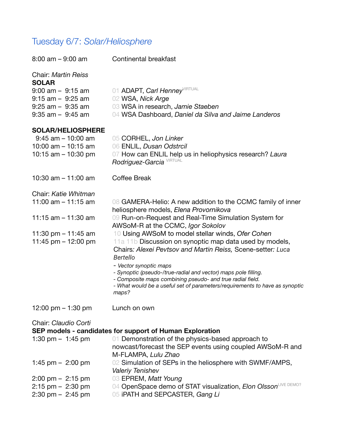# Tuesday 6/7: *Solar/Heliosphere*

| $8:00$ am $-9:00$ am                                                                                                                       | <b>Continental breakfast</b>                                                                                                                                                                                                                                                                                                                                                                                                                    |
|--------------------------------------------------------------------------------------------------------------------------------------------|-------------------------------------------------------------------------------------------------------------------------------------------------------------------------------------------------------------------------------------------------------------------------------------------------------------------------------------------------------------------------------------------------------------------------------------------------|
| <b>Chair: Martin Reiss</b><br><b>SOLAR</b><br>$9:00$ am $-9:15$ am<br>$9:15$ am $-9:25$ am<br>$9:25$ am $-9:35$ am<br>$9:35$ am $-9:45$ am | 01 ADAPT, Carl HenneyVIRTUAL<br>02 WSA, Nick Arge<br>03 WSA in research, Jamie Staeben<br>04 WSA Dashboard, Daniel da Silva and Jaime Landeros                                                                                                                                                                                                                                                                                                  |
| <b>SOLAR/HELIOSPHERE</b><br>$9:45$ am $-10:00$ am<br>10:00 am $-$ 10:15 am<br>10:15 $am - 10:30$ pm                                        | 05 CORHEL, Jon Linker<br>06 ENLIL, Dusan Odstrcil<br>07 How can ENLIL help us in heliophysics research? Laura<br>Rodriguez-Garcia VIRTUAL                                                                                                                                                                                                                                                                                                       |
| 10:30 $am - 11:00$ am                                                                                                                      | <b>Coffee Break</b>                                                                                                                                                                                                                                                                                                                                                                                                                             |
| Chair: Katie Whitman<br>11:00 am $-$ 11:15 am                                                                                              | 08 GAMERA-Helio: A new addition to the CCMC family of inner                                                                                                                                                                                                                                                                                                                                                                                     |
| 11:15 $am - 11:30 am$                                                                                                                      | heliosphere models, Elena Provornikova<br>09 Run-on-Request and Real-Time Simulation System for<br>AWSoM-R at the CCMC, Igor Sokolov                                                                                                                                                                                                                                                                                                            |
| 11:30 pm $-$ 11:45 am<br>11:45 pm $-$ 12:00 pm                                                                                             | 10 Using AWSoM to model stellar winds, Ofer Cohen<br>11a 11b Discussion on synoptic map data used by models,<br>Chairs: Alexei Pevtsov and Martin Reiss, Scene-setter: Luca<br><b>Bertello</b><br>- Vector synoptic maps<br>- Synoptic (pseudo-/true-radial and vector) maps pole filling.<br>- Composite maps combining pseudo- and true radial field.<br>- What would be a useful set of parameters/requirements to have as synoptic<br>maps? |
| 12:00 pm $-$ 1:30 pm                                                                                                                       | Lunch on own                                                                                                                                                                                                                                                                                                                                                                                                                                    |
| Chair: Claudio Corti                                                                                                                       | SEP models - candidates for support of Human Exploration                                                                                                                                                                                                                                                                                                                                                                                        |
| 1:30 pm $-$ 1:45 pm                                                                                                                        | 01 Demonstration of the physics-based approach to<br>nowcast/forecast the SEP events using coupled AWSoM-R and<br>M-FLAMPA, Lulu Zhao                                                                                                                                                                                                                                                                                                           |
| 1:45 pm $-$ 2:00 pm                                                                                                                        | 02 Simulation of SEPs in the heliosphere with SWMF/AMPS,<br><b>Valeriy Tenishev</b>                                                                                                                                                                                                                                                                                                                                                             |
| $2:00 \text{ pm} - 2:15 \text{ pm}$                                                                                                        | 03 EPREM, Matt Young                                                                                                                                                                                                                                                                                                                                                                                                                            |
| $2:15$ pm $-2:30$ pm                                                                                                                       | 04 OpenSpace demo of STAT visualization, Elon OlssonLIVE DEMO?                                                                                                                                                                                                                                                                                                                                                                                  |
| $2:30 \text{ pm} - 2:45 \text{ pm}$                                                                                                        | 05 iPATH and SEPCASTER, Gang Li                                                                                                                                                                                                                                                                                                                                                                                                                 |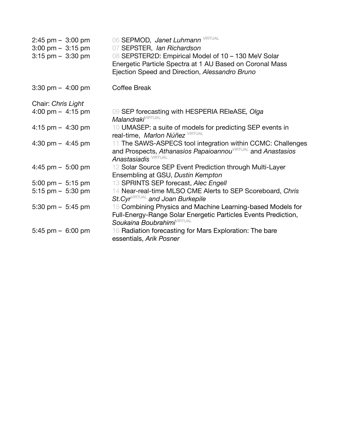| $2:45$ pm $-3:00$ pm<br>$3:00 \text{ pm} - 3:15 \text{ pm}$<br>$3:15$ pm $-3:30$ pm | 06 SEPMOD, Janet Luhmann VIRTUAL<br>07 SEPSTER, Ian Richardson<br>08 SEPSTER2D: Empirical Model of 10 - 130 MeV Solar<br>Energetic Particle Spectra at 1 AU Based on Coronal Mass<br>Ejection Speed and Direction, Alessandro Bruno |
|-------------------------------------------------------------------------------------|-------------------------------------------------------------------------------------------------------------------------------------------------------------------------------------------------------------------------------------|
| $3:30 \text{ pm} - 4:00 \text{ pm}$                                                 | <b>Coffee Break</b>                                                                                                                                                                                                                 |
| Chair: Chris Light                                                                  |                                                                                                                                                                                                                                     |
| 4:00 pm $-$ 4:15 pm                                                                 | 09 SEP forecasting with HESPERIA REIeASE, Olga<br><b>Malandraki</b> VIRTUAL                                                                                                                                                         |
| 4:15 pm $-$ 4:30 pm                                                                 | 10 UMASEP: a suite of models for predicting SEP events in<br>real-time, Marlon Núñez <sup>VIRTUAL</sup>                                                                                                                             |
| 4:30 pm $-$ 4:45 pm                                                                 | 11 The SAWS-ASPECS tool integration within CCMC: Challenges<br>and Prospects, Athanasios Papaioannou VIRTUAL and Anastasios<br><b>Anastasiadis</b> VIRTUAL                                                                          |
| 4:45 pm $-$ 5:00 pm                                                                 | 12 Solar Source SEP Event Prediction through Multi-Layer<br>Ensembling at GSU, Dustin Kempton                                                                                                                                       |
| $5:00 \text{ pm} - 5:15 \text{ pm}$                                                 | 13 SPRINTS SEP forecast, Alec Engell                                                                                                                                                                                                |
| $5:15$ pm $-5:30$ pm                                                                | 14 Near-real-time MLSO CME Alerts to SEP Scoreboard, Chris<br>St.Cyr <sup>VIRTUAL</sup> and Joan Burkepile                                                                                                                          |
| 5:30 pm $-$ 5:45 pm                                                                 | 15 Combining Physics and Machine Learning-based Models for<br>Full-Energy-Range Solar Energetic Particles Events Prediction,<br>Soukaina Boubrahimi <sup>VIRTUAL</sup>                                                              |
| $5:45$ pm $-6:00$ pm                                                                | 16 Radiation forecasting for Mars Exploration: The bare<br>essentials, Arik Posner                                                                                                                                                  |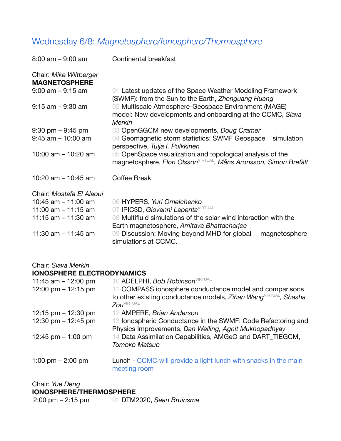# Wednesday 6/8: *Magnetosphere/Ionosphere/Thermosphere*

| $8:00$ am $-9:00$ am                                                                                | Continental breakfast                                                                                                                                                               |
|-----------------------------------------------------------------------------------------------------|-------------------------------------------------------------------------------------------------------------------------------------------------------------------------------------|
| Chair: Mike Wiltberger<br><b>MAGNETOSPHERE</b>                                                      |                                                                                                                                                                                     |
| $9:00$ am $-9:15$ am                                                                                | 01 Latest updates of the Space Weather Modeling Framework<br>(SWMF): from the Sun to the Earth, Zhenguang Huang                                                                     |
| $9:15$ am $-9:30$ am                                                                                | 02 Multiscale Atmosphere-Geospace Environment (MAGE)<br>model: New developments and onboarding at the CCMC, Slava<br><b>Merkin</b>                                                  |
| $9:30 \text{ pm} - 9:45 \text{ pm}$<br>$9:45$ am $-10:00$ am                                        | 03 OpenGGCM new developments, Doug Cramer<br>04 Geomagnetic storm statistics: SWMF Geospace<br>simulation<br>perspective, Tuija I. Pulkkinen                                        |
| 10:00 am $-$ 10:20 am                                                                               | 05 OpenSpace visualization and topological analysis of the<br>magnetosphere, Elon Olsson <sup>virtual</sup> , Måns Aronsson, Simon Brefält                                          |
| 10:20 am $-$ 10:45 am                                                                               | Coffee Break                                                                                                                                                                        |
| Chair: Mostafa El Alaoui<br>10:45 $am - 11:00$ am<br>11:00 am $-$ 11:15 am<br>11:15 am $-$ 11:30 am | 06 HYPERS, Yuri Omelchenko<br>07 IPIC3D, Giovanni Lapenta VIRTUAL<br>08 Multifluid simulations of the solar wind interaction with the<br>Earth magnetosphere, Amitava Bhattacharjee |
| 11:30 am $-$ 11:45 am                                                                               | 09 Discussion: Moving beyond MHD for global<br>magnetosphere<br>simulations at CCMC.                                                                                                |

Chair: *Slava Merkin*

### **IONOSPHERE ELECTRODYNAMICS**

| 11:45 am $-$ 12:00 pm | 10 ADELPHI, Bob Robinson <sup>VIRTUAL</sup>                                                                           |
|-----------------------|-----------------------------------------------------------------------------------------------------------------------|
| 12:00 pm $-$ 12:15 pm | 11 COMPASS ionosphere conductance model and comparisons                                                               |
|                       | to other existing conductance models, Zihan Wang VIRTUAL, Shasha<br>Zou <sup>virtual</sup>                            |
| 12:15 pm $-$ 12:30 pm | 12 AMPERE, Brian Anderson                                                                                             |
| 12:30 pm $-$ 12:45 pm | 13 Ionospheric Conductance in the SWMF: Code Refactoring and<br>Physics Improvements, Dan Welling, Agnit Mukhopadhyay |
| 12:45 pm $-$ 1:00 pm  | 14 Data Assimilation Capabilities, AMGeO and DART_TIEGCM,<br>Tomoko Matsuo                                            |
| 1:00 pm $-$ 2:00 pm   | Lunch - CCMC will provide a light lunch with snacks in the main<br>meeting room                                       |

| Chair: Yue Deng                     |                           |
|-------------------------------------|---------------------------|
| <b>IONOSPHERE/THERMOSPHERE</b>      |                           |
| $2:00 \text{ pm} - 2:15 \text{ pm}$ | 01 DTM2020, Sean Bruinsma |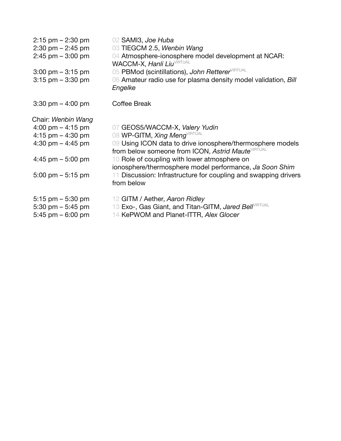| $2:15$ pm $-2:30$ pm<br>$2:30 \text{ pm} - 2:45 \text{ pm}$<br>$2:45$ pm $-3:00$ pm<br>$3:00 \text{ pm} - 3:15 \text{ pm}$<br>$3:15$ pm $-3:30$ pm | 02 SAMI3, Joe Huba<br>03 TIEGCM 2.5, Wenbin Wang<br>04 Atmosphere-ionosphere model development at NCAR:<br><b>WACCM-X, Hanli Liu VIRTUAL</b><br>05 PBMod (scintillations), John Retterer VIRTUAL<br>06 Amateur radio use for plasma density model validation, Bill<br>Engelke |
|----------------------------------------------------------------------------------------------------------------------------------------------------|-------------------------------------------------------------------------------------------------------------------------------------------------------------------------------------------------------------------------------------------------------------------------------|
| $3:30 \text{ pm} - 4:00 \text{ pm}$                                                                                                                | Coffee Break                                                                                                                                                                                                                                                                  |
| Chair: Wenbin Wang                                                                                                                                 |                                                                                                                                                                                                                                                                               |
| 4:00 pm $-$ 4:15 pm                                                                                                                                | 07 GEOS5/WACCM-X, Valery Yudin                                                                                                                                                                                                                                                |
| 4:15 pm $-$ 4:30 pm                                                                                                                                | 08 WP-GITM, Xing MengVIRTUAL                                                                                                                                                                                                                                                  |
| 4:30 pm $-$ 4:45 pm                                                                                                                                | 09 Using ICON data to drive ionosphere/thermosphere models<br>from below someone from ICON, Astrid MauteVIRTUAL                                                                                                                                                               |
| 4:45 pm $-$ 5:00 pm                                                                                                                                | 10 Role of coupling with lower atmosphere on<br>ionosphere/thermosphere model performance, Ja Soon Shim                                                                                                                                                                       |
| $5:00 \text{ pm} - 5:15 \text{ pm}$                                                                                                                | Discussion: Infrastructure for coupling and swapping drivers<br>from below                                                                                                                                                                                                    |
| $5:15$ pm $-5:30$ pm                                                                                                                               | 12 GITM / Aether, Aaron Ridley                                                                                                                                                                                                                                                |
| 5:30 pm $-$ 5:45 pm                                                                                                                                | 13 Exo-, Gas Giant, and Titan-GITM, Jared BellVIRTUAL                                                                                                                                                                                                                         |
| $5:45$ pm $-6:00$ pm                                                                                                                               | 14 KePWOM and Planet-ITTR, Alex Glocer                                                                                                                                                                                                                                        |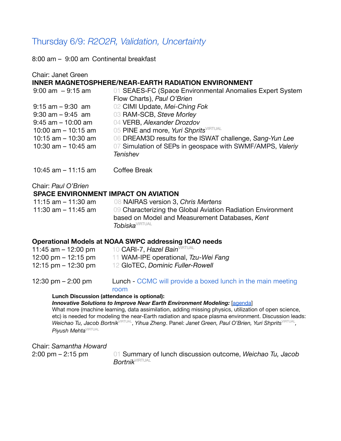# Thursday 6/9: *R2O2R, Validation, Uncertainty*

8:00 am – 9:00 am Continental breakfast

| Chair: Janet Green                                                                                                                               | INNER MAGNETOSPHERE/NEAR-EARTH RADIATION ENVIRONMENT                                                                                                                                                                                                                              |
|--------------------------------------------------------------------------------------------------------------------------------------------------|-----------------------------------------------------------------------------------------------------------------------------------------------------------------------------------------------------------------------------------------------------------------------------------|
| $9:00$ am $-9:15$ am                                                                                                                             | 01 SEAES-FC (Space Environmental Anomalies Expert System<br>Flow Charts), Paul O'Brien                                                                                                                                                                                            |
| $9:15$ am $-9:30$ am<br>$9:30$ am $-9:45$ am<br>$9:45$ am $-10:00$ am<br>10:00 am $-$ 10:15 am<br>10:15 $am - 10:30 am$<br>10:30 am $-$ 10:45 am | 02 CIMI Update, Mei-Ching Fok<br>03 RAM-SCB, Steve Morley<br>04 VERB, Alexander Drozdov<br>05 PINE and more, Yuri Shprits <sup>VIRTUAL</sup><br>06 DREAM3D results for the ISWAT challenge, Sang-Yun Lee<br>07 Simulation of SEPs in geospace with SWMF/AMPS, Valeriy<br>Tenishev |
| 10:45 am $-$ 11:15 am                                                                                                                            | Coffee Break                                                                                                                                                                                                                                                                      |
| Chair: Paul O'Brien<br><b>SPACE ENVIRONMENT IMPACT ON AVIATION</b><br>11:15 am – 11:30 am<br>11:30 am $-$ 11:45 am                               | 08 NAIRAS version 3, Chris Mertens<br>09 Characterizing the Global Aviation Radiation Environment<br>based on Model and Measurement Databases, Kent<br><b>Tobiska</b> <sup>VIRTUAL</sup>                                                                                          |
| 11:45 am – 12:00 pm<br>12:00 pm – 12:15 pm<br>12:15 pm – 12:30 pm                                                                                | Operational Models at NOAA SWPC addressing ICAO needs<br>10 CARI-7, Hazel Bain <sup>VIRTUAL</sup><br>11 WAM-IPE operational, Tzu-Wei Fang<br>12 GIoTEC, Dominic Fuller-Rowell                                                                                                     |

12:30 pm – 2:00 pm Lunch - CCMC will provide a boxed lunch in the main meeting room

#### **Lunch Discussion (attendance is optional):**

#### *Innovative Solutions to Improve Near Earth Environment Modeling:* [\[agenda](https://docs.google.com/presentation/d/1IpV5hkhRK_Y7MwPVnZo0W-mzzH2n5OVV/edit?usp=sharing&ouid=109959920246250015665&rtpof=true&sd=true)]

What more (machine learning, data assimilation, adding missing physics, utilization of open science, etc) is needed for modeling the near-Earth radiation and space plasma environment. Discussion leads:  $W$ eichao Tu, Jacob Bortnik $\rm{V}$ IRTUAL, Yihua Zheng. Panel: Janet Green, Paul O'Brien, Yuri Shprits $\rm{V}$ IRTUAL,  $P$ iyush Mehta<sup>vırtual</sup>

Chair: *Samantha Howard*

2:00 pm – 2:15 pm 01 Summary of lunch discussion outcome, *Weichao Tu, Jacob Bortnik*VIRTUAL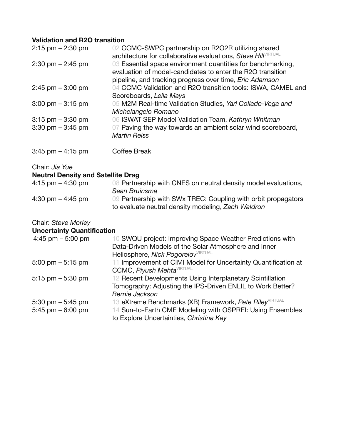# **Validation and R2O transition**

| $2:15$ pm $-2:30$ pm                                        | 02 CCMC-SWPC partnership on R2O2R utilizing shared<br>architecture for collaborative evaluations, Steve HillVIRTUAL                                                                         |
|-------------------------------------------------------------|---------------------------------------------------------------------------------------------------------------------------------------------------------------------------------------------|
| $2:30 \text{ pm} - 2:45 \text{ pm}$                         | 03 Essential space environment quantities for benchmarking,<br>evaluation of model-candidates to enter the R2O transition<br>pipeline, and tracking progress over time, <i>Eric Adamson</i> |
| $2:45$ pm $-3:00$ pm                                        | 04 CCMC Validation and R2O transition tools: ISWA, CAMEL and<br>Scoreboards, Leila Mays                                                                                                     |
| $3:00 \text{ pm} - 3:15 \text{ pm}$                         | 05 M2M Real-time Validation Studies, Yari Collado-Vega and<br>Michelangelo Romano                                                                                                           |
| $3:15$ pm $-3:30$ pm<br>$3:30 \text{ pm} - 3:45 \text{ pm}$ | 06 ISWAT SEP Model Validation Team, Kathryn Whitman<br>07 Paving the way towards an ambient solar wind scoreboard,<br><b>Martin Reiss</b>                                                   |
| $3:45$ pm $-4:15$ pm                                        | Coffee Break                                                                                                                                                                                |
| Chair: Jia Yue<br><b>Neutral Density and Satellite Drag</b> |                                                                                                                                                                                             |
| 4:15 pm $-$ 4:30 pm                                         | 08 Partnership with CNES on neutral density model evaluations,<br>0--- 0- <i>0-0--</i>                                                                                                      |

|                                     | Sean Bruinsma                                                 |
|-------------------------------------|---------------------------------------------------------------|
| $4:30 \text{ pm} - 4:45 \text{ pm}$ | 09 Partnership with SWx TREC: Coupling with orbit propagators |
|                                     | to evaluate neutral density modeling, Zach Waldron            |

### Chair: *Steve Morley*

### **Uncertainty Quantification**

| 4:45 pm $-$ 5:00 pm                 | 10 SWQU project: Improving Space Weather Predictions with           |
|-------------------------------------|---------------------------------------------------------------------|
|                                     | Data-Driven Models of the Solar Atmosphere and Inner                |
|                                     | Heliosphere, Nick Pogorelov <sup>VIRTUAL</sup>                      |
| $5:00 \text{ pm} - 5:15 \text{ pm}$ | 11 Improvement of CIMI Model for Uncertainty Quantification at      |
|                                     | <b>CCMC, Piyush Mehta</b> VIRTUAL                                   |
| $5:15$ pm $-5:30$ pm                | 12 Recent Developments Using Interplanetary Scintillation           |
|                                     | Tomography: Adjusting the IPS-Driven ENLIL to Work Better?          |
|                                     | Bernie Jackson                                                      |
| 5:30 pm $-$ 5:45 pm                 | 13 eXtreme Benchmarks (XB) Framework, Pete Riley <sup>VIRTUAL</sup> |
| 5:45 pm $-6:00$ pm                  | 14 Sun-to-Earth CME Modeling with OSPREI: Using Ensembles           |
|                                     | to Explore Uncertainties, Christina Kay                             |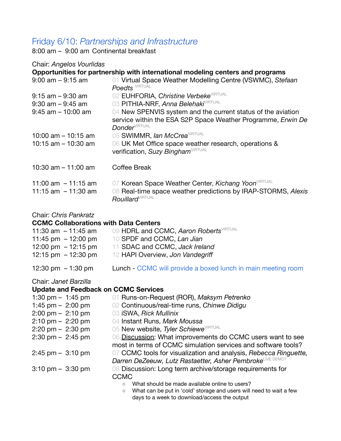# Friday 6/10: *Partnerships and Infrastructure*

8:00 am – 9:00 am Continental breakfast

#### Chair: *Angelos Vourlidas*

|                                                                       | Opportunities for partnership with international modeling centers and programs                                                                                       |
|-----------------------------------------------------------------------|----------------------------------------------------------------------------------------------------------------------------------------------------------------------|
| $9:00$ am $-9:15$ am                                                  | 01 Virtual Space Weather Modelling Centre (VSWMC), Stefaan<br><b>Poedts</b> VIRTUAL                                                                                  |
| $9:15$ am $-9:30$ am<br>$9:30$ am $-9:45$ am<br>$9:45$ am $-10:00$ am | 02 EUHFORIA, Christine Verbeke <sup>VIRTUAL</sup><br>03 PITHIA-NRF, Anna Belehaki <sup>VIRTUAL</sup><br>04 New SPENVIS system and the current status of the aviation |
|                                                                       | service within the ESA S2P Space Weather Programme, Erwin De<br><b>Donder</b> VIRTUAL                                                                                |
| 10:00 am $-$ 10:15 am                                                 | 05 SWIMMR, Ian McCrea <sup>VIRTUAL</sup>                                                                                                                             |
| 10:15 $am - 10:30 am$                                                 | 06 UK Met Office space weather research, operations &<br>verification, Suzy Bingham <sup>VIRTUAL</sup>                                                               |
| 10:30 am $-$ 11:00 am                                                 | <b>Coffee Break</b>                                                                                                                                                  |
| 11:00 am $-11:15$ am                                                  | 07 Korean Space Weather Center, Kichang YoonVIRTUAL                                                                                                                  |
| 11:15 am $-11:30$ am                                                  | 08 Real-time space weather predictions by IRAP-STORMS, Alexis<br><b>Rouillard</b> <sup>VIRTUAL</sup>                                                                 |
| Chair: Chris Pankratz                                                 |                                                                                                                                                                      |
| <b>CCMC Collaborations with Data Centers</b>                          |                                                                                                                                                                      |
| 11:30 am $-$ 11:45 am                                                 | 09 HDRL and CCMC, Aaron RobertsVIRTUAL                                                                                                                               |
| 11:45 pm $-12:00$ pm                                                  | 10 SPDF and CCMC, Lan Jian                                                                                                                                           |

- 12:00 pm 12:15 pm 11 SDAC and CCMC, *Jack Ireland* 12 HAPI Overview, Jon Vandegriff
- 
- 12:30 pm 1:30 pm Lunch CCMC will provide a boxed lunch in main meeting room

#### Chair: *Janet Barzilla*

## **Update and Feedback on CCMC Services**

| 1:30 pm $-$ 1:45 pm                 | 01 Runs-on-Request (ROR), Maksym Petrenko                           |
|-------------------------------------|---------------------------------------------------------------------|
| 1:45 pm $-$ 2:00 pm                 | 02 Continuous/real-time runs, Chinwe Didigu                         |
| $2:00 \text{ pm} - 2:10 \text{ pm}$ | 03 iSWA, Rick Mullinix                                              |
| $2:10 \text{ pm} - 2:20 \text{ pm}$ | 04 Instant Runs, Mark Moussa                                        |
| $2:20 \text{ pm} - 2:30 \text{ pm}$ | 05 New website, Tyler Schiewe <sup>VIRTUAL</sup>                    |
| $2:30 \text{ pm} - 2:45 \text{ pm}$ | 06 Discussion: What improvements do CCMC users want to see          |
|                                     | most in terms of CCMC simulation services and software tools?       |
| $2:45$ pm $-3:10$ pm                | 07 CCMC tools for visualization and analysis, Rebecca Ringuette,    |
|                                     | Darren DeZeeuw, Lutz Rastaetter, Asher PembrokeLIVE DEMO?           |
| $3:10 \text{ pm} - 3:30 \text{ pm}$ | 08 Discussion: Long term archive/storage requirements for           |
|                                     | <b>CCMC</b>                                                         |
|                                     | What should be made available online to users?<br>$\circ$           |
|                                     | What can be put in 'cold' storage and users will need to wait a few |

days to a week to download/access the output